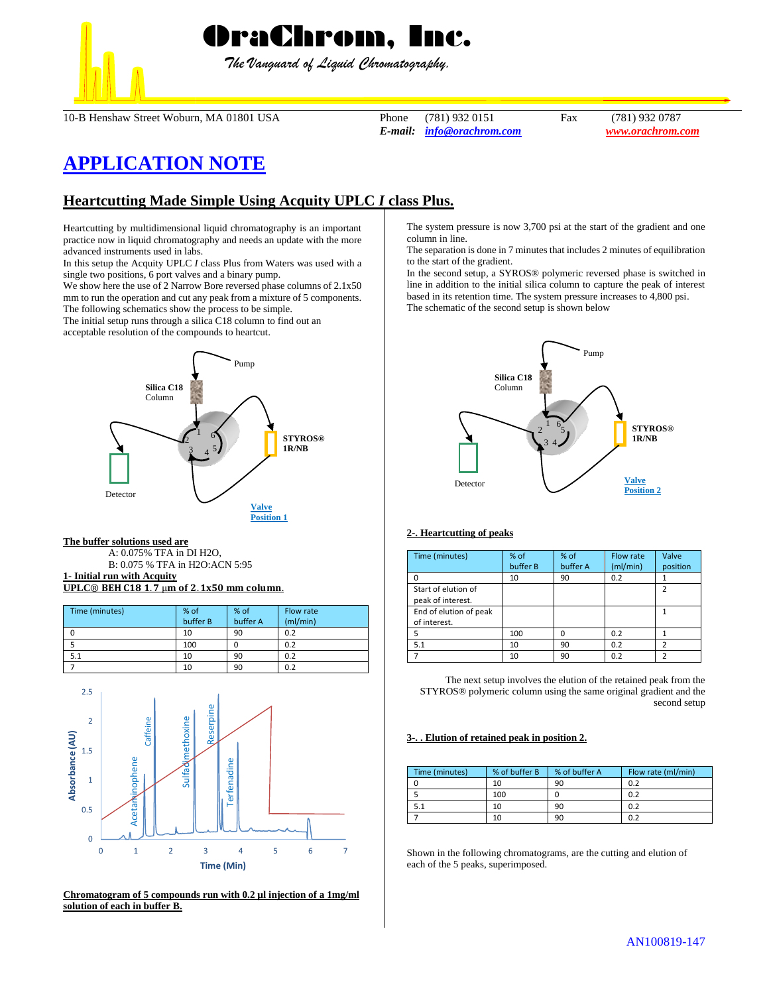

*The Vanguard of Liquid Chromatography.*

10-B Henshaw Street Woburn, MA 01801 USA Phone (781) 932 0151 Fax (781) 932 0787

*E-mail: [info@orachrom.com](mailto:info@orachrom.com) www.orachrom.com*

# **APPLICATION NOTE**

# **Heartcutting Made Simple Using Acquity UPLC** *I* **class Plus.**

Heartcutting by multidimensional liquid chromatography is an important practice now in liquid chromatography and needs an update with the more advanced instruments used in labs.

In this setup the Acquity UPLC *I* class Plus from Waters was used with a single two positions, 6 port valves and a binary pump.

We show here the use of 2 Narrow Bore reversed phase columns of 2.1x50 mm to run the operation and cut any peak from a mixture of 5 components. The following schematics show the process to be simple.

The initial setup runs through a silica C18 column to find out an

acceptable resolution of the compounds to heartcut.



### **The buffer solutions used are**

A: 0.075% TFA in DI H2O,

B: 0.075 % TFA in H2O:ACN 5:95

#### **1- Initial run with Acquity UPLC<sup>®</sup> BEH C18 1.7** µm of 2.1x50 mm column.

| Time (minutes) | % of<br>buffer B | % of<br>buffer A | Flow rate<br>(mI/min) |
|----------------|------------------|------------------|-----------------------|
|                | 10               | 90               | 0.2                   |
|                | 100              |                  | 0.2                   |
|                | 10               | 90               | 0.2                   |
|                | 10               | 90               | 0.2                   |



**Chromatogram of 5 compounds run with 0.2 µl injection of a 1mg/ml solution of each in buffer B.**

The system pressure is now 3,700 psi at the start of the gradient and one column in line.

The separation is done in 7 minutes that includes 2 minutes of equilibration to the start of the gradient.

In the second setup, a SYROS® polymeric reversed phase is switched in line in addition to the initial silica column to capture the peak of interest based in its retention time. The system pressure increases to 4,800 psi. The schematic of the second setup is shown below



# **2-. Heartcutting of peaks**

| Time (minutes)                           | % of<br>buffer B | $%$ of<br>buffer A | Flow rate<br>(ml/min) | Valve<br>position |
|------------------------------------------|------------------|--------------------|-----------------------|-------------------|
| O                                        | 10               | 90                 | 0.2                   |                   |
| Start of elution of<br>peak of interest. |                  |                    |                       | $\mathfrak z$     |
| End of elution of peak<br>of interest.   |                  |                    |                       |                   |
| 5                                        | 100              |                    | 0.2                   |                   |
| 5.1                                      | 10               | 90                 | 0.2                   |                   |
|                                          | 10               | 90                 | 0.2                   |                   |

The next setup involves the elution of the retained peak from the STYROS® polymeric column using the same original gradient and the second setup

## **3-. . Elution of retained peak in position 2.**

| Time (minutes) | % of buffer B | % of buffer A | Flow rate (ml/min) |
|----------------|---------------|---------------|--------------------|
|                | 10            | 90            | 0.2                |
|                | 100           |               | 0.2                |
|                | 10            | 90            | 0.2                |
|                | 10            | 90            | 0.2                |

Shown in the following chromatograms, are the cutting and elution of each of the 5 peaks, superimposed.